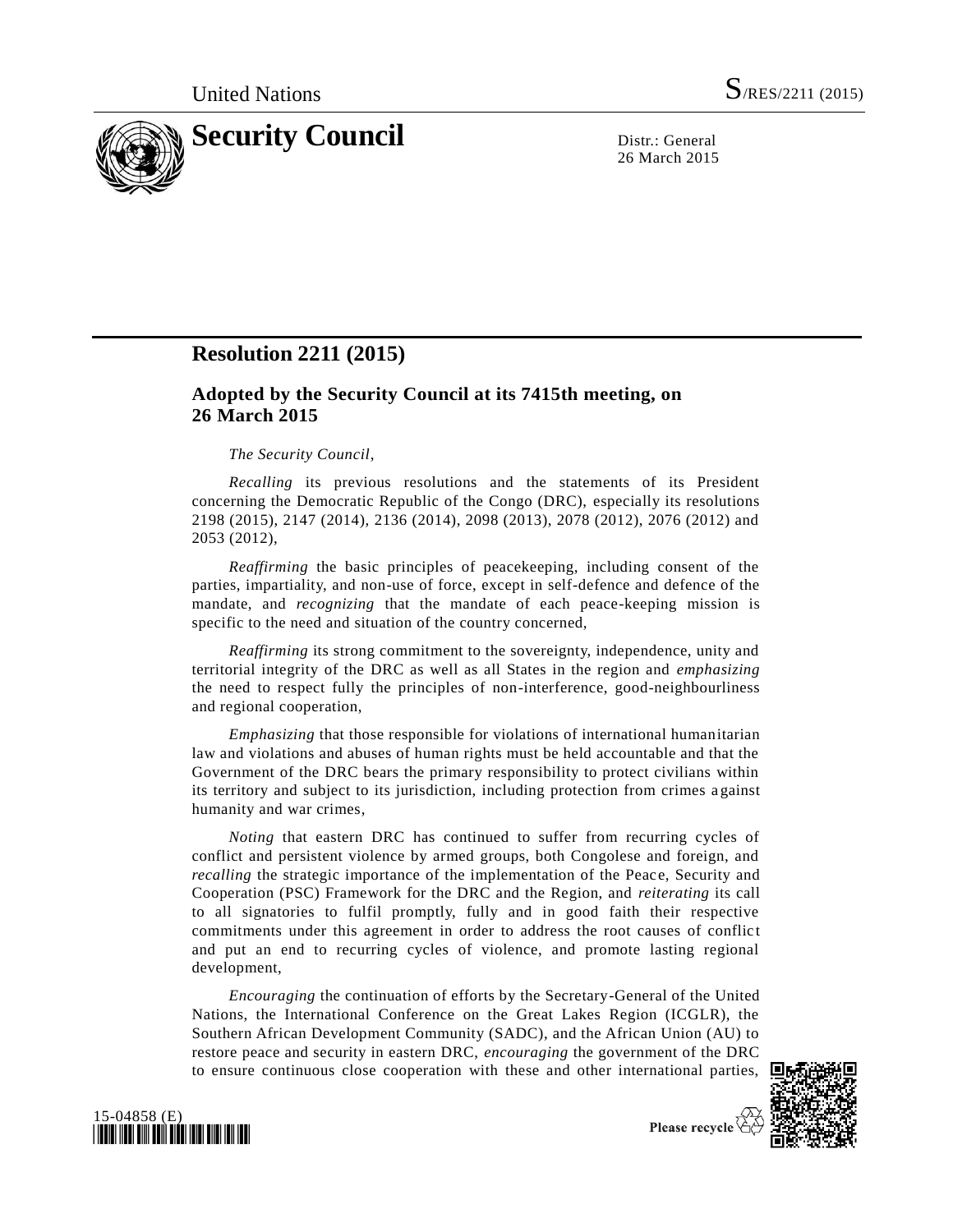

26 March 2015

# **Resolution 2211 (2015)**

## **Adopted by the Security Council at its 7415th meeting, on 26 March 2015**

## *The Security Council*,

*Recalling* its previous resolutions and the statements of its President concerning the Democratic Republic of the Congo (DRC), especially its resolutions 2198 (2015), 2147 (2014), 2136 (2014), 2098 (2013), 2078 (2012), 2076 (2012) and 2053 (2012),

*Reaffirming* the basic principles of peacekeeping, including consent of the parties, impartiality, and non-use of force, except in self-defence and defence of the mandate, and *recognizing* that the mandate of each peace-keeping mission is specific to the need and situation of the country concerned,

*Reaffirming* its strong commitment to the sovereignty, independence, unity and territorial integrity of the DRC as well as all States in the region and *emphasizing* the need to respect fully the principles of non-interference, good-neighbourliness and regional cooperation,

*Emphasizing* that those responsible for violations of international humanitarian law and violations and abuses of human rights must be held accountable and that the Government of the DRC bears the primary responsibility to protect civilians within its territory and subject to its jurisdiction, including protection from crimes a gainst humanity and war crimes,

*Noting* that eastern DRC has continued to suffer from recurring cycles of conflict and persistent violence by armed groups, both Congolese and foreign, and *recalling* the strategic importance of the implementation of the Peace, Security and Cooperation (PSC) Framework for the DRC and the Region, and *reiterating* its call to all signatories to fulfil promptly, fully and in good faith their respective commitments under this agreement in order to address the root causes of conflict and put an end to recurring cycles of violence, and promote lasting regional development,

*Encouraging* the continuation of efforts by the Secretary-General of the United Nations, the International Conference on the Great Lakes Region (ICGLR), the Southern African Development Community (SADC), and the African Union (AU) to restore peace and security in eastern DRC, *encouraging* the government of the DRC to ensure continuous close cooperation with these and other international parties,





Please recycle  $\overline{\mathcal{C}}$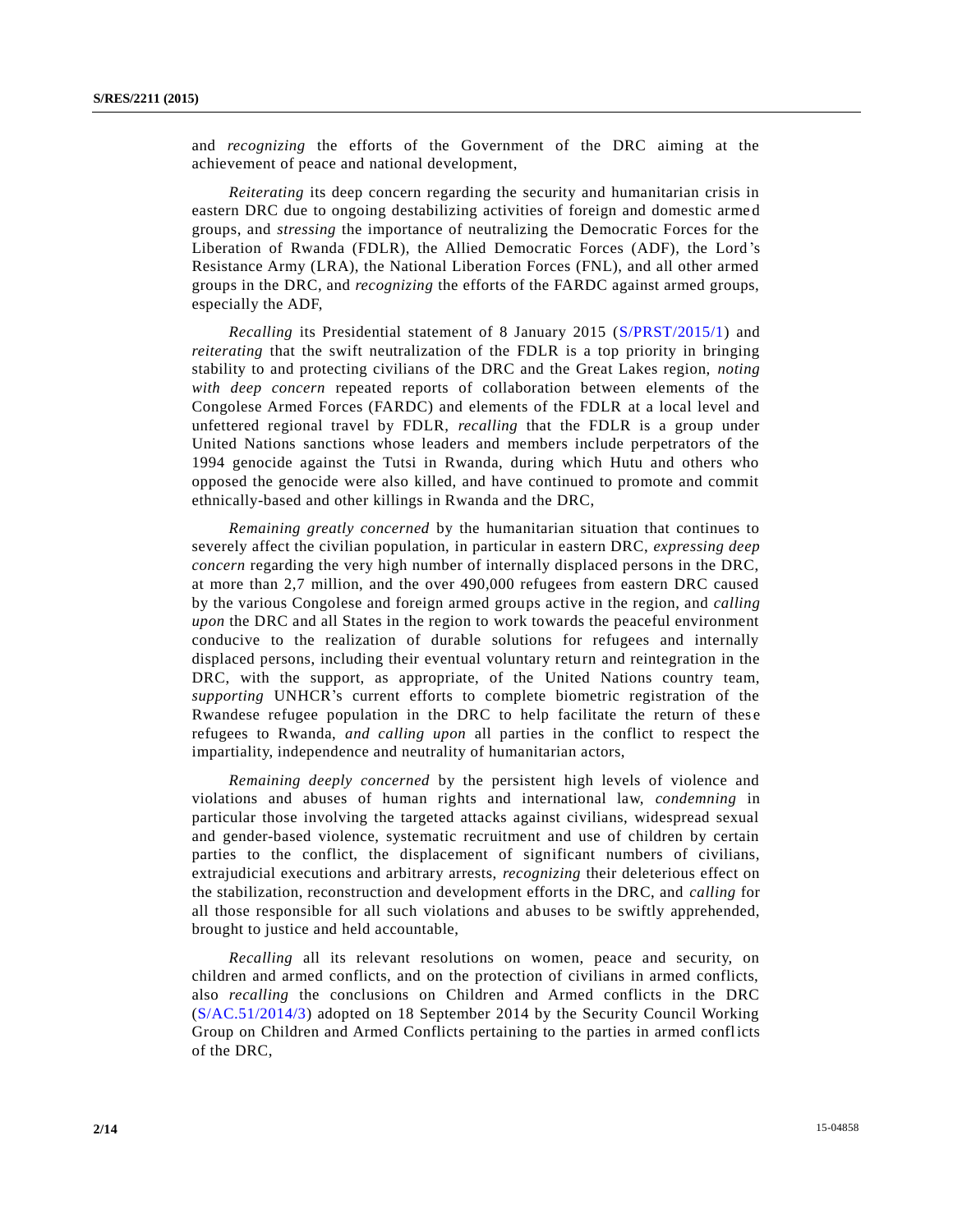and *recognizing* the efforts of the Government of the DRC aiming at the achievement of peace and national development,

*Reiterating* its deep concern regarding the security and humanitarian crisis in eastern DRC due to ongoing destabilizing activities of foreign and domestic arme d groups, and *stressing* the importance of neutralizing the Democratic Forces for the Liberation of Rwanda (FDLR), the Allied Democratic Forces (ADF), the Lord 's Resistance Army (LRA), the National Liberation Forces (FNL), and all other armed groups in the DRC, and *recognizing* the efforts of the FARDC against armed groups, especially the ADF,

*Recalling* its Presidential statement of 8 January 2015 [\(S/PRST/2015/1\)](http://undocs.org/S/PRST/2015/1) and *reiterating* that the swift neutralization of the FDLR is a top priority in bringing stability to and protecting civilians of the DRC and the Great Lakes region, *noting with deep concern* repeated reports of collaboration between elements of the Congolese Armed Forces (FARDC) and elements of the FDLR at a local level and unfettered regional travel by FDLR, *recalling* that the FDLR is a group under United Nations sanctions whose leaders and members include perpetrators of the 1994 genocide against the Tutsi in Rwanda, during which Hutu and others who opposed the genocide were also killed, and have continued to promote and commit ethnically-based and other killings in Rwanda and the DRC,

*Remaining greatly concerned* by the humanitarian situation that continues to severely affect the civilian population, in particular in eastern DRC, *expressing deep concern* regarding the very high number of internally displaced persons in the DRC, at more than 2,7 million, and the over 490,000 refugees from eastern DRC caused by the various Congolese and foreign armed groups active in the region, and *calling upon* the DRC and all States in the region to work towards the peaceful environment conducive to the realization of durable solutions for refugees and internally displaced persons, including their eventual voluntary return and reintegration in the DRC, with the support, as appropriate, of the United Nations country team, *supporting* UNHCR's current efforts to complete biometric registration of the Rwandese refugee population in the DRC to help facilitate the return of these refugees to Rwanda, *and calling upon* all parties in the conflict to respect the impartiality, independence and neutrality of humanitarian actors,

*Remaining deeply concerned* by the persistent high levels of violence and violations and abuses of human rights and international law, *condemning* in particular those involving the targeted attacks against civilians, widespread sexual and gender-based violence, systematic recruitment and use of children by certain parties to the conflict, the displacement of significant numbers of civilians, extrajudicial executions and arbitrary arrests, *recognizing* their deleterious effect on the stabilization, reconstruction and development efforts in the DRC, and *calling* for all those responsible for all such violations and abuses to be swiftly apprehended, brought to justice and held accountable,

*Recalling* all its relevant resolutions on women, peace and security, on children and armed conflicts, and on the protection of civilians in armed conflicts, also *recalling* the conclusions on Children and Armed conflicts in the DRC [\(S/AC.51/2014/3\)](http://undocs.org/S/AC.51/2014/3) adopted on 18 September 2014 by the Security Council Working Group on Children and Armed Conflicts pertaining to the parties in armed conflicts of the DRC,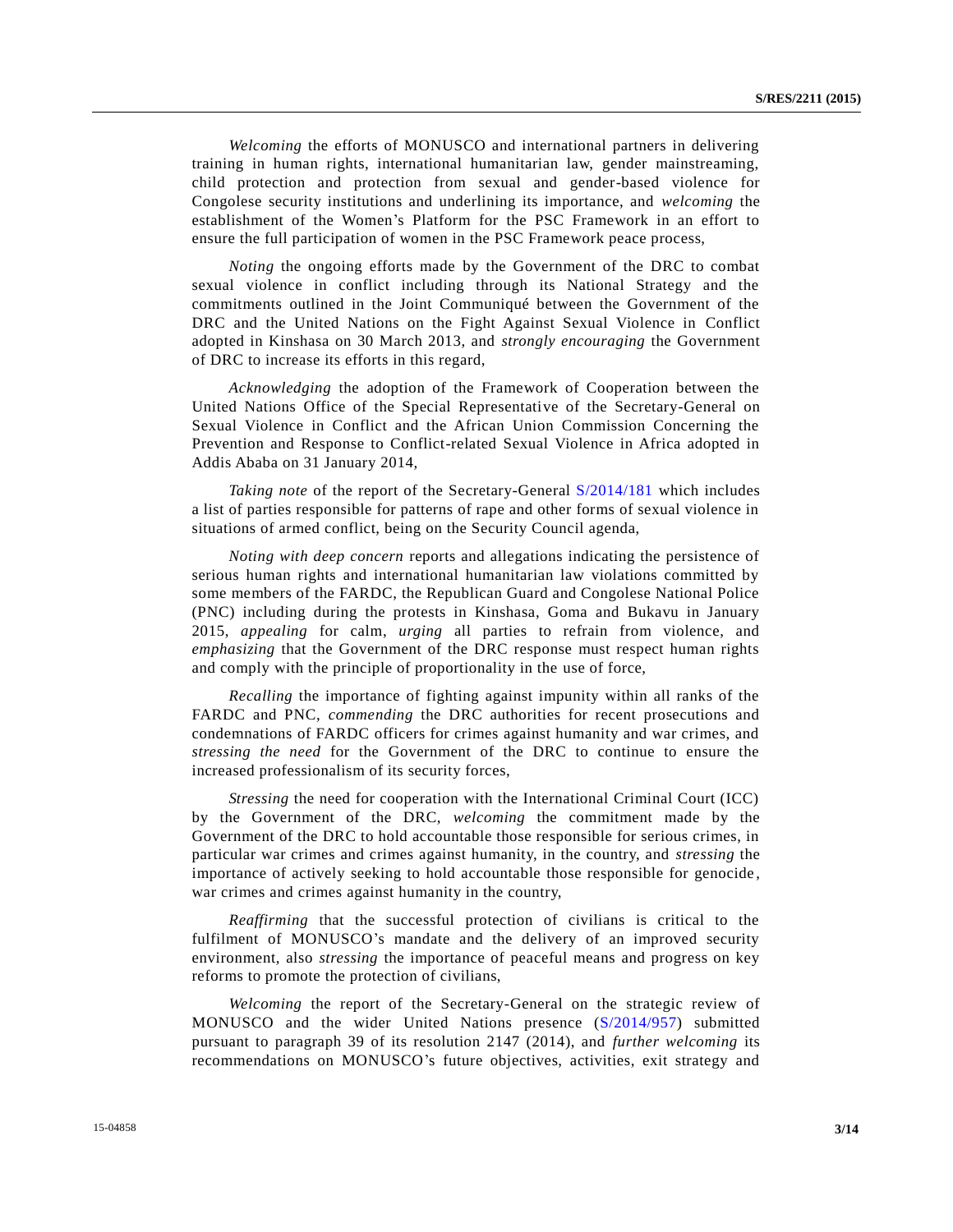*Welcoming* the efforts of MONUSCO and international partners in delivering training in human rights, international humanitarian law, gender mainstreaming, child protection and protection from sexual and gender-based violence for Congolese security institutions and underlining its importance, and *welcoming* the establishment of the Women's Platform for the PSC Framework in an effort to ensure the full participation of women in the PSC Framework peace process,

*Noting* the ongoing efforts made by the Government of the DRC to combat sexual violence in conflict including through its National Strategy and the commitments outlined in the Joint Communiqué between the Government of the DRC and the United Nations on the Fight Against Sexual Violence in Conflict adopted in Kinshasa on 30 March 2013, and *strongly encouraging* the Government of DRC to increase its efforts in this regard,

*Acknowledging* the adoption of the Framework of Cooperation between the United Nations Office of the Special Representative of the Secretary-General on Sexual Violence in Conflict and the African Union Commission Concerning the Prevention and Response to Conflict-related Sexual Violence in Africa adopted in Addis Ababa on 31 January 2014,

*Taking note* of the report of the Secretary-General [S/2014/181](http://undocs.org/S/2014/181) which includes a list of parties responsible for patterns of rape and other forms of sexual violence in situations of armed conflict, being on the Security Council agenda,

*Noting with deep concern* reports and allegations indicating the persistence of serious human rights and international humanitarian law violations committed by some members of the FARDC, the Republican Guard and Congolese National Police (PNC) including during the protests in Kinshasa, Goma and Bukavu in January 2015, *appealing* for calm, *urging* all parties to refrain from violence, and *emphasizing* that the Government of the DRC response must respect human rights and comply with the principle of proportionality in the use of force,

*Recalling* the importance of fighting against impunity within all ranks of the FARDC and PNC, *commending* the DRC authorities for recent prosecutions and condemnations of FARDC officers for crimes against humanity and war crimes, and *stressing the need* for the Government of the DRC to continue to ensure the increased professionalism of its security forces,

*Stressing* the need for cooperation with the International Criminal Court (ICC) by the Government of the DRC, *welcoming* the commitment made by the Government of the DRC to hold accountable those responsible for serious crimes, in particular war crimes and crimes against humanity, in the country, and *stressing* the importance of actively seeking to hold accountable those responsible for genocide , war crimes and crimes against humanity in the country,

*Reaffirming* that the successful protection of civilians is critical to the fulfilment of MONUSCO's mandate and the delivery of an improved security environment, also *stressing* the importance of peaceful means and progress on key reforms to promote the protection of civilians,

*Welcoming* the report of the Secretary-General on the strategic review of MONUSCO and the wider United Nations presence [\(S/2014/957\)](http://undocs.org/S/2014/957) submitted pursuant to paragraph 39 of its resolution 2147 (2014), and *further welcoming* its recommendations on MONUSCO's future objectives, activities, exit strategy and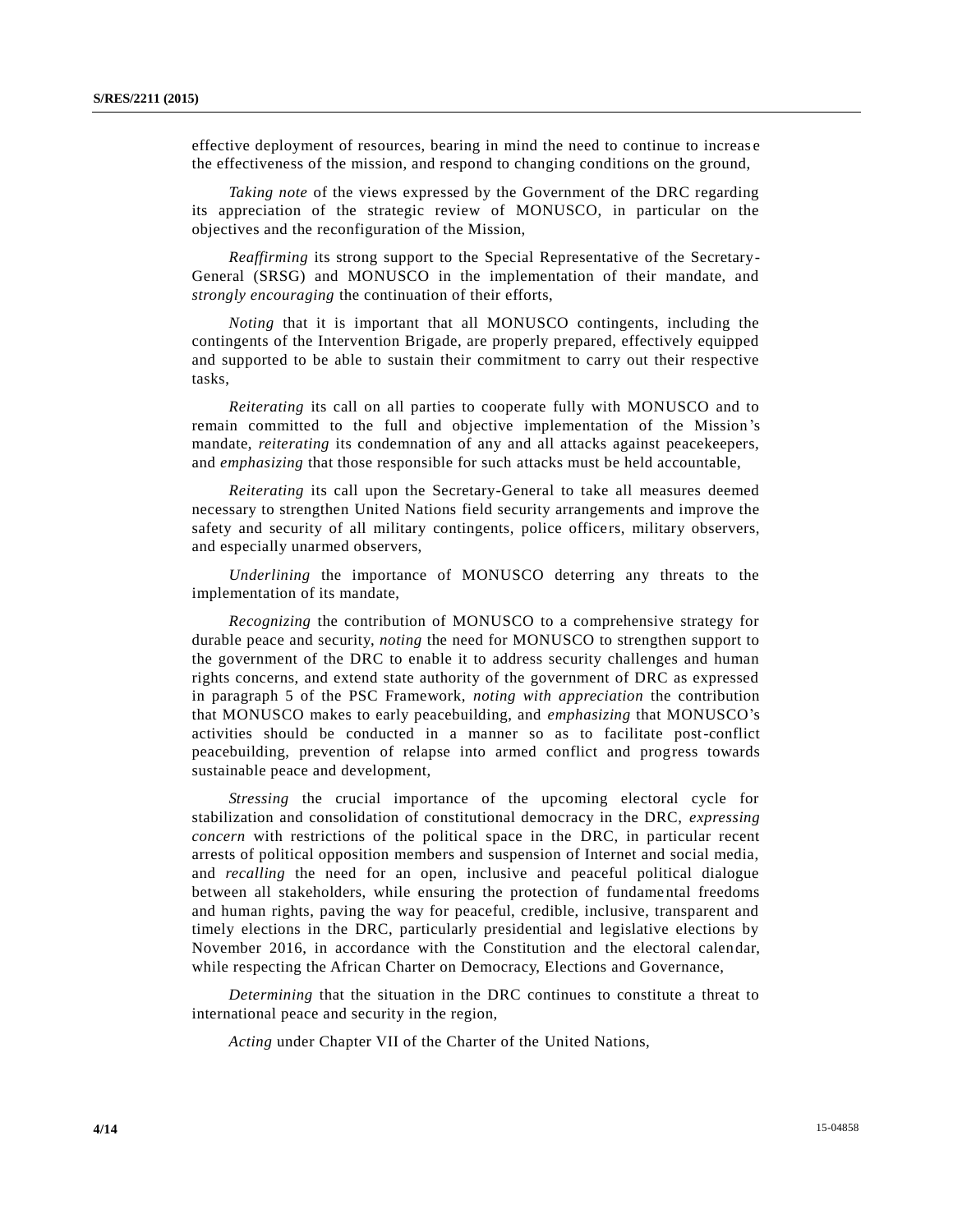effective deployment of resources, bearing in mind the need to continue to increas e the effectiveness of the mission, and respond to changing conditions on the ground,

*Taking note* of the views expressed by the Government of the DRC regarding its appreciation of the strategic review of MONUSCO, in particular on the objectives and the reconfiguration of the Mission,

*Reaffirming* its strong support to the Special Representative of the Secretary-General (SRSG) and MONUSCO in the implementation of their mandate, and *strongly encouraging* the continuation of their efforts,

*Noting* that it is important that all MONUSCO contingents, including the contingents of the Intervention Brigade, are properly prepared, effectively equipped and supported to be able to sustain their commitment to carry out their respective tasks,

*Reiterating* its call on all parties to cooperate fully with MONUSCO and to remain committed to the full and objective implementation of the Mission's mandate, *reiterating* its condemnation of any and all attacks against peacekeepers, and *emphasizing* that those responsible for such attacks must be held accountable,

*Reiterating* its call upon the Secretary-General to take all measures deemed necessary to strengthen United Nations field security arrangements and improve the safety and security of all military contingents, police officers, military observers, and especially unarmed observers,

*Underlining* the importance of MONUSCO deterring any threats to the implementation of its mandate,

*Recognizing* the contribution of MONUSCO to a comprehensive strategy for durable peace and security, *noting* the need for MONUSCO to strengthen support to the government of the DRC to enable it to address security challenges and human rights concerns, and extend state authority of the government of DRC as expressed in paragraph 5 of the PSC Framework, *noting with appreciation* the contribution that MONUSCO makes to early peacebuilding, and *emphasizing* that MONUSCO's activities should be conducted in a manner so as to facilitate post-conflict peacebuilding, prevention of relapse into armed conflict and progress towards sustainable peace and development,

*Stressing* the crucial importance of the upcoming electoral cycle for stabilization and consolidation of constitutional democracy in the DRC, *expressing concern* with restrictions of the political space in the DRC, in particular recent arrests of political opposition members and suspension of Internet and social media, and *recalling* the need for an open, inclusive and peaceful political dialogue between all stakeholders, while ensuring the protection of fundame ntal freedoms and human rights, paving the way for peaceful, credible, inclusive, transparent and timely elections in the DRC, particularly presidential and legislative elections by November 2016, in accordance with the Constitution and the electoral calendar, while respecting the African Charter on Democracy, Elections and Governance,

*Determining* that the situation in the DRC continues to constitute a threat to international peace and security in the region,

*Acting* under Chapter VII of the Charter of the United Nations,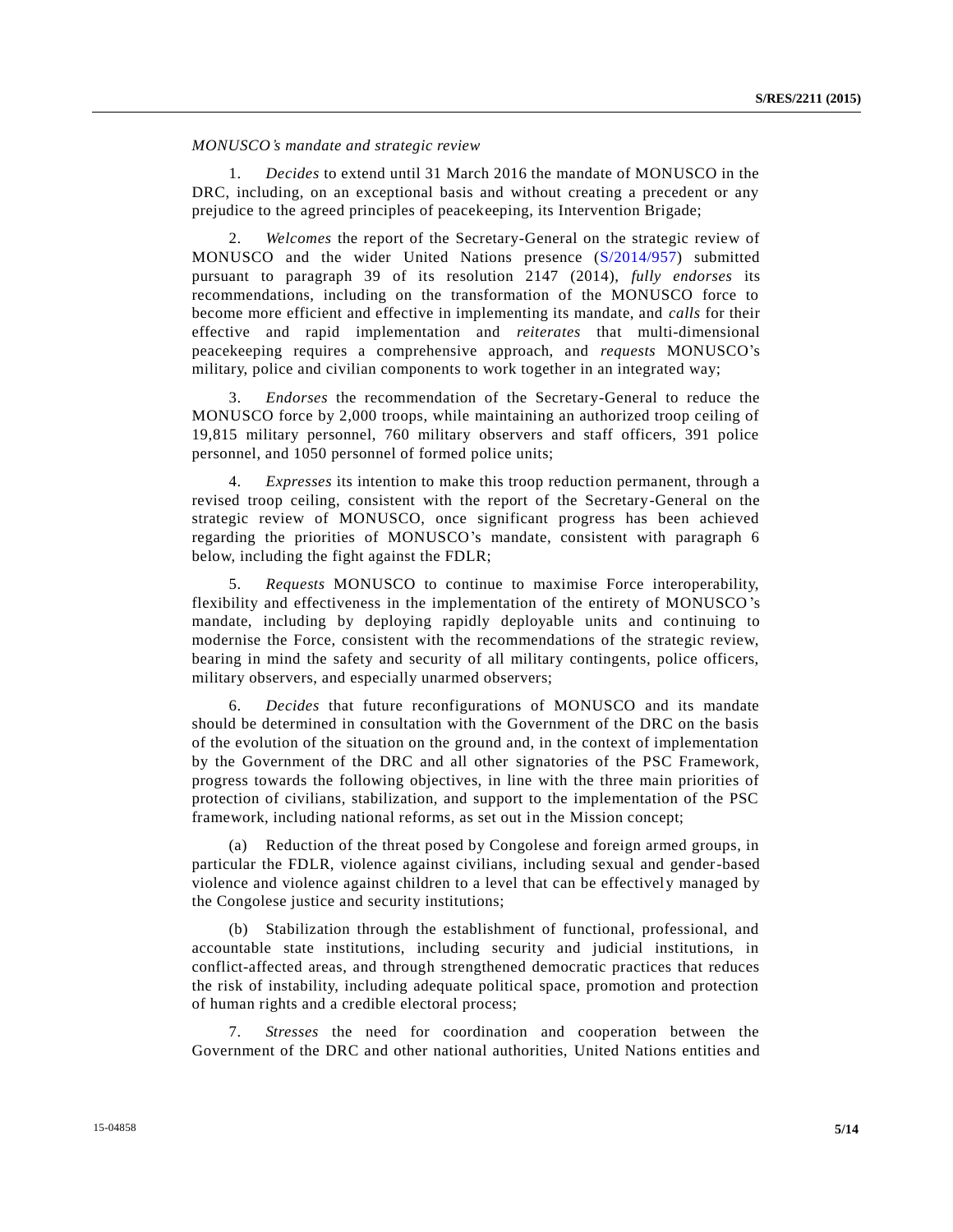*MONUSCO's mandate and strategic review*

1. *Decides* to extend until 31 March 2016 the mandate of MONUSCO in the DRC, including, on an exceptional basis and without creating a precedent or any prejudice to the agreed principles of peacekeeping, its Intervention Brigade;

2. *Welcomes* the report of the Secretary-General on the strategic review of MONUSCO and the wider United Nations presence [\(S/2014/957\)](http://undocs.org/S/2014/957) submitted pursuant to paragraph 39 of its resolution 2147 (2014), *fully endorses* its recommendations, including on the transformation of the MONUSCO force to become more efficient and effective in implementing its mandate, and *calls* for their effective and rapid implementation and *reiterates* that multi-dimensional peacekeeping requires a comprehensive approach, and *requests* MONUSCO's military, police and civilian components to work together in an integrated way;

3. *Endorses* the recommendation of the Secretary-General to reduce the MONUSCO force by 2,000 troops, while maintaining an authorized troop ceiling of 19,815 military personnel, 760 military observers and staff officers, 391 police personnel, and 1050 personnel of formed police units;

4. *Expresses* its intention to make this troop reduction permanent, through a revised troop ceiling, consistent with the report of the Secretary-General on the strategic review of MONUSCO, once significant progress has been achieved regarding the priorities of MONUSCO's mandate, consistent with paragraph 6 below, including the fight against the FDLR;

5. *Requests* MONUSCO to continue to maximise Force interoperability, flexibility and effectiveness in the implementation of the entirety of MONUSCO's mandate, including by deploying rapidly deployable units and continuing to modernise the Force, consistent with the recommendations of the strategic review, bearing in mind the safety and security of all military contingents, police officers, military observers, and especially unarmed observers;

6. *Decides* that future reconfigurations of MONUSCO and its mandate should be determined in consultation with the Government of the DRC on the basis of the evolution of the situation on the ground and, in the context of implementation by the Government of the DRC and all other signatories of the PSC Framework, progress towards the following objectives, in line with the three main priorities of protection of civilians, stabilization, and support to the implementation of the PSC framework, including national reforms, as set out in the Mission concept;

(a) Reduction of the threat posed by Congolese and foreign armed groups, in particular the FDLR, violence against civilians, including sexual and gender-based violence and violence against children to a level that can be effectively managed by the Congolese justice and security institutions;

(b) Stabilization through the establishment of functional, professional, and accountable state institutions, including security and judicial institutions, in conflict-affected areas, and through strengthened democratic practices that reduces the risk of instability, including adequate political space, promotion and protection of human rights and a credible electoral process;

7. *Stresses* the need for coordination and cooperation between the Government of the DRC and other national authorities, United Nations entities and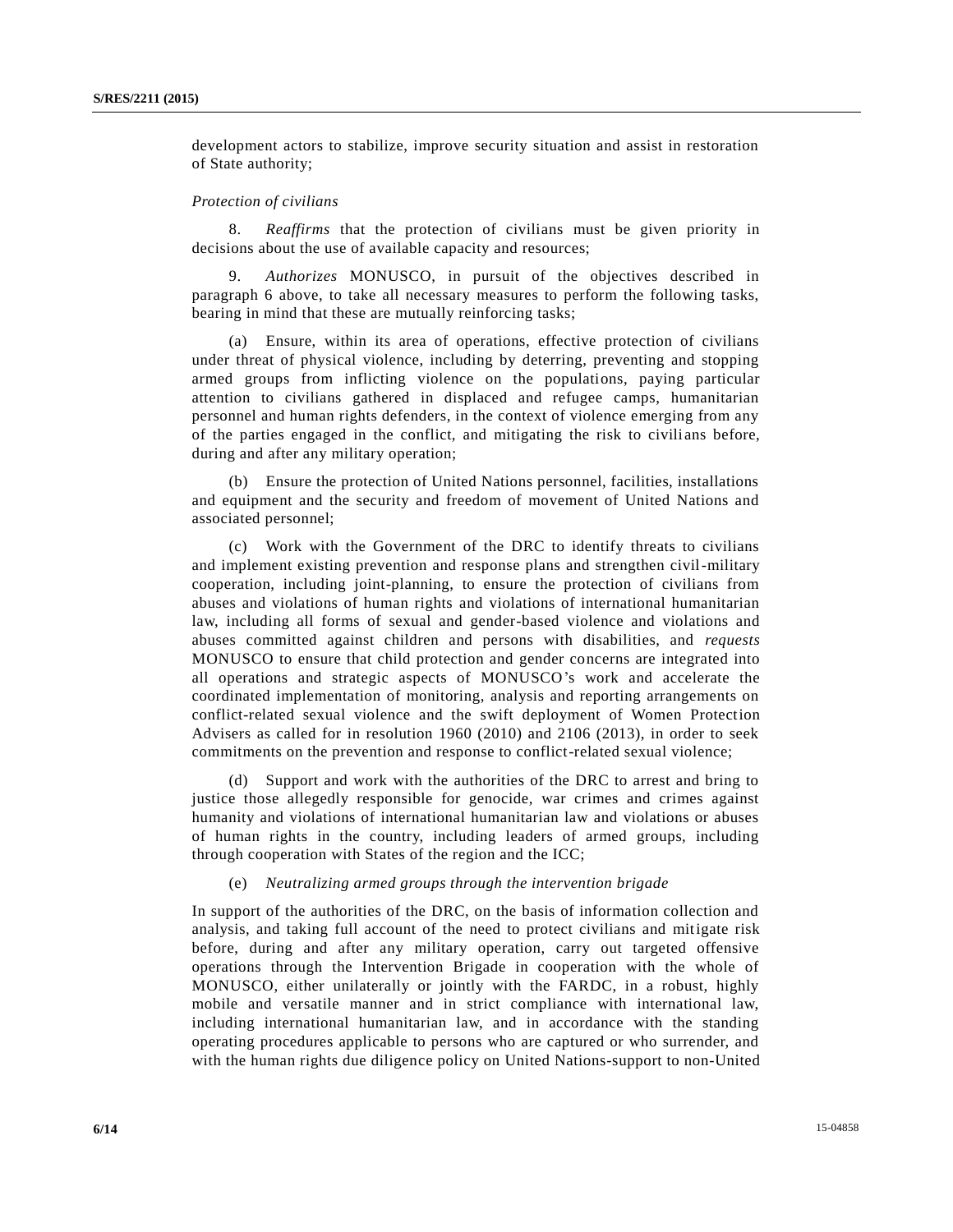development actors to stabilize, improve security situation and assist in restoration of State authority;

#### *Protection of civilians*

8. *Reaffirms* that the protection of civilians must be given priority in decisions about the use of available capacity and resources;

9. *Authorizes* MONUSCO, in pursuit of the objectives described in paragraph 6 above, to take all necessary measures to perform the following tasks, bearing in mind that these are mutually reinforcing tasks;

(a) Ensure, within its area of operations, effective protection of civilians under threat of physical violence, including by deterring, preventing and stopping armed groups from inflicting violence on the populations, paying particular attention to civilians gathered in displaced and refugee camps, humanitarian personnel and human rights defenders, in the context of violence emerging from any of the parties engaged in the conflict, and mitigating the risk to civili ans before, during and after any military operation;

(b) Ensure the protection of United Nations personnel, facilities, installations and equipment and the security and freedom of movement of United Nations and associated personnel;

(c) Work with the Government of the DRC to identify threats to civilians and implement existing prevention and response plans and strengthen civil-military cooperation, including joint-planning, to ensure the protection of civilians from abuses and violations of human rights and violations of international humanitarian law, including all forms of sexual and gender-based violence and violations and abuses committed against children and persons with disabilities, and *requests* MONUSCO to ensure that child protection and gender concerns are integrated into all operations and strategic aspects of MONUSCO's work and accelerate the coordinated implementation of monitoring, analysis and reporting arrangements on conflict-related sexual violence and the swift deployment of Women Protection Advisers as called for in resolution 1960 (2010) and 2106 (2013), in order to seek commitments on the prevention and response to conflict-related sexual violence;

(d) Support and work with the authorities of the DRC to arrest and bring to justice those allegedly responsible for genocide, war crimes and crimes against humanity and violations of international humanitarian law and violations or abuses of human rights in the country, including leaders of armed groups, including through cooperation with States of the region and the ICC;

## (e) *Neutralizing armed groups through the intervention brigade*

In support of the authorities of the DRC, on the basis of information collection and analysis, and taking full account of the need to protect civilians and mitigate risk before, during and after any military operation, carry out targeted offensive operations through the Intervention Brigade in cooperation with the whole of MONUSCO, either unilaterally or jointly with the FARDC, in a robust, highly mobile and versatile manner and in strict compliance with international law, including international humanitarian law, and in accordance with the standing operating procedures applicable to persons who are captured or who surrender, and with the human rights due diligence policy on United Nations-support to non-United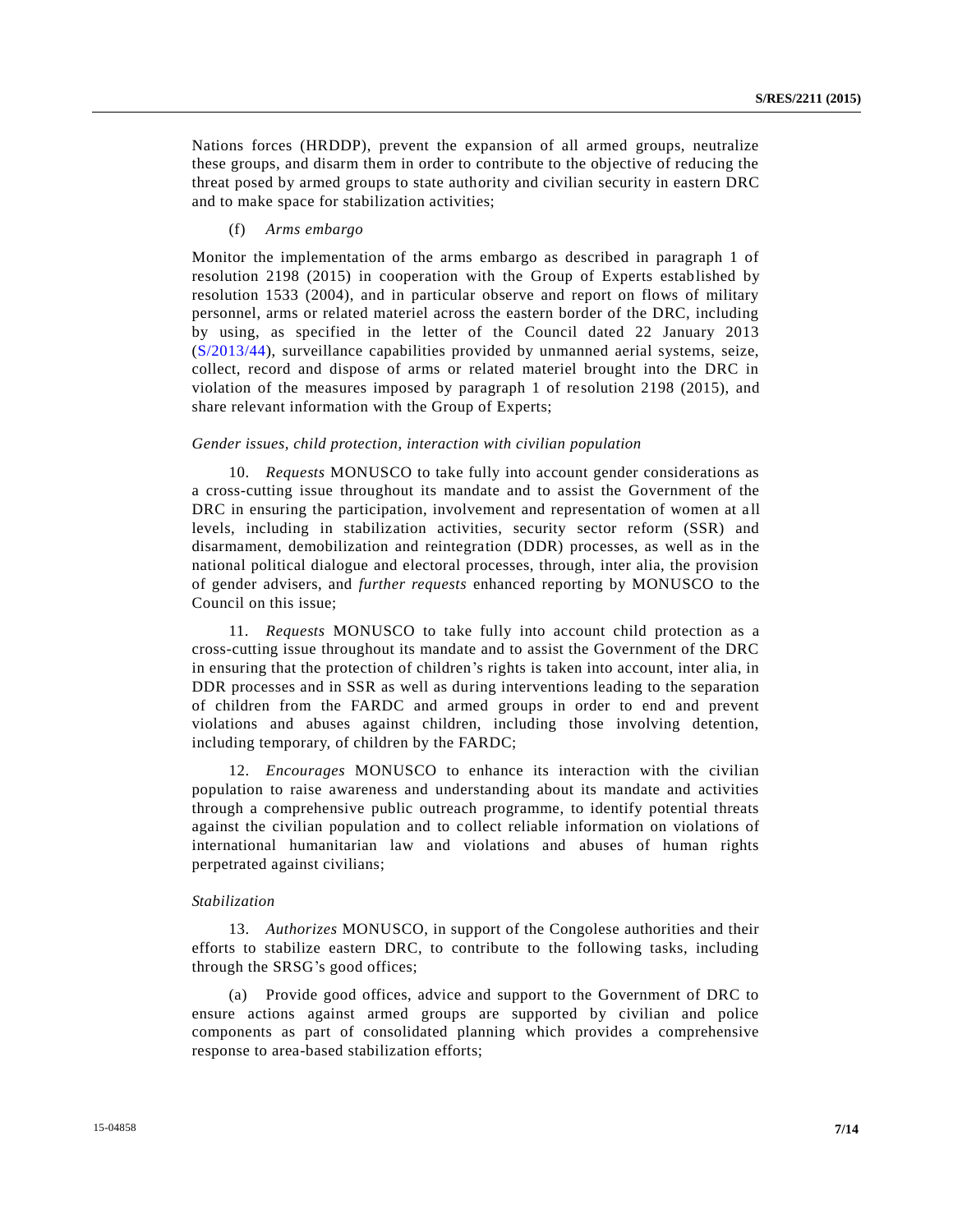Nations forces (HRDDP), prevent the expansion of all armed groups, neutralize these groups, and disarm them in order to contribute to the objective of reducing the threat posed by armed groups to state authority and civilian security in eastern DRC and to make space for stabilization activities;

## (f) *Arms embargo*

Monitor the implementation of the arms embargo as described in paragraph 1 of resolution 2198 (2015) in cooperation with the Group of Experts established by resolution 1533 (2004), and in particular observe and report on flows of military personnel, arms or related materiel across the eastern border of the DRC, including by using, as specified in the letter of the Council dated 22 January 2013 [\(S/2013/44\)](http://undocs.org/S/2013/44), surveillance capabilities provided by unmanned aerial systems, seize, collect, record and dispose of arms or related materiel brought into the DRC in violation of the measures imposed by paragraph 1 of resolution 2198 (2015), and share relevant information with the Group of Experts;

#### *Gender issues, child protection, interaction with civilian population*

10. *Requests* MONUSCO to take fully into account gender considerations as a cross-cutting issue throughout its mandate and to assist the Government of the DRC in ensuring the participation, involvement and representation of women at all levels, including in stabilization activities, security sector reform (SSR) and disarmament, demobilization and reintegration (DDR) processes, as well as in the national political dialogue and electoral processes, through, inter alia, the provision of gender advisers, and *further requests* enhanced reporting by MONUSCO to the Council on this issue;

11. *Requests* MONUSCO to take fully into account child protection as a cross-cutting issue throughout its mandate and to assist the Government of the DRC in ensuring that the protection of children's rights is taken into account, inter alia, in DDR processes and in SSR as well as during interventions leading to the separation of children from the FARDC and armed groups in order to end and prevent violations and abuses against children, including those involving detention, including temporary, of children by the FARDC;

12. *Encourages* MONUSCO to enhance its interaction with the civilian population to raise awareness and understanding about its mandate and activities through a comprehensive public outreach programme, to identify potential threats against the civilian population and to collect reliable information on violations of international humanitarian law and violations and abuses of human rights perpetrated against civilians;

#### *Stabilization*

13. *Authorizes* MONUSCO, in support of the Congolese authorities and their efforts to stabilize eastern DRC, to contribute to the following tasks, including through the SRSG's good offices;

(a) Provide good offices, advice and support to the Government of DRC to ensure actions against armed groups are supported by civilian and police components as part of consolidated planning which provides a comprehensive response to area-based stabilization efforts;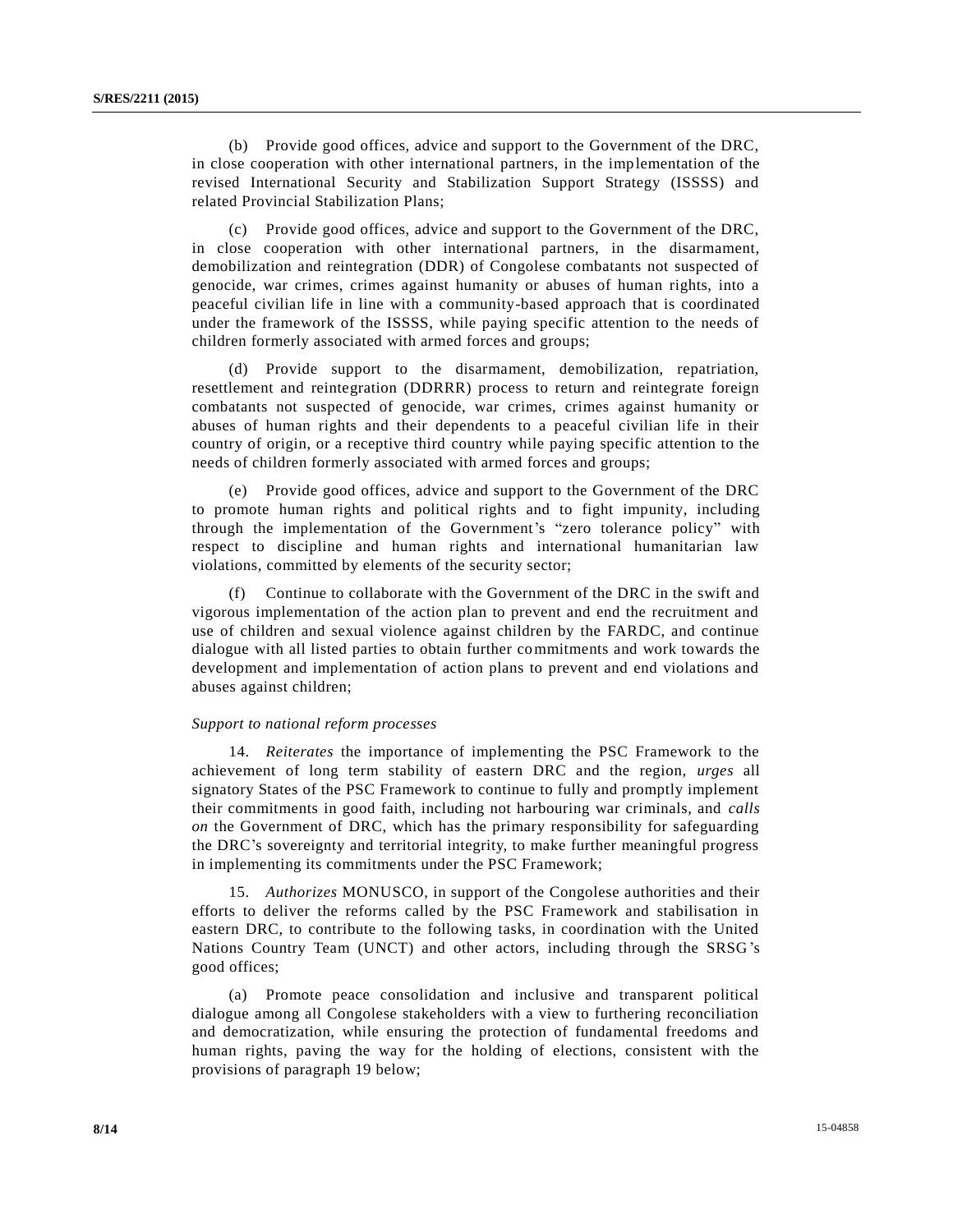(b) Provide good offices, advice and support to the Government of the DRC, in close cooperation with other international partners, in the implementation of the revised International Security and Stabilization Support Strategy (ISSSS) and related Provincial Stabilization Plans;

(c) Provide good offices, advice and support to the Government of the DRC, in close cooperation with other international partners, in the disarmament, demobilization and reintegration (DDR) of Congolese combatants not suspected of genocide, war crimes, crimes against humanity or abuses of human rights, into a peaceful civilian life in line with a community-based approach that is coordinated under the framework of the ISSSS, while paying specific attention to the needs of children formerly associated with armed forces and groups;

(d) Provide support to the disarmament, demobilization, repatriation, resettlement and reintegration (DDRRR) process to return and reintegrate foreign combatants not suspected of genocide, war crimes, crimes against humanity or abuses of human rights and their dependents to a peaceful civilian life in their country of origin, or a receptive third country while paying specific attention to the needs of children formerly associated with armed forces and groups;

(e) Provide good offices, advice and support to the Government of the DRC to promote human rights and political rights and to fight impunity, including through the implementation of the Government's "zero tolerance policy" with respect to discipline and human rights and international humanitarian law violations, committed by elements of the security sector;

(f) Continue to collaborate with the Government of the DRC in the swift and vigorous implementation of the action plan to prevent and end the recruitment and use of children and sexual violence against children by the FARDC, and continue dialogue with all listed parties to obtain further commitments and work towards the development and implementation of action plans to prevent and end violations and abuses against children;

#### *Support to national reform processes*

14. *Reiterates* the importance of implementing the PSC Framework to the achievement of long term stability of eastern DRC and the region, *urges* all signatory States of the PSC Framework to continue to fully and promptly implement their commitments in good faith, including not harbouring war criminals, and *calls on* the Government of DRC, which has the primary responsibility for safeguarding the DRC's sovereignty and territorial integrity, to make further meaningful progress in implementing its commitments under the PSC Framework;

15. *Authorizes* MONUSCO, in support of the Congolese authorities and their efforts to deliver the reforms called by the PSC Framework and stabilisation in eastern DRC, to contribute to the following tasks, in coordination with the United Nations Country Team (UNCT) and other actors, including through the SRSG's good offices;

(a) Promote peace consolidation and inclusive and transparent political dialogue among all Congolese stakeholders with a view to furthering reconciliation and democratization, while ensuring the protection of fundamental freedoms and human rights, paving the way for the holding of elections, consistent with the provisions of paragraph 19 below;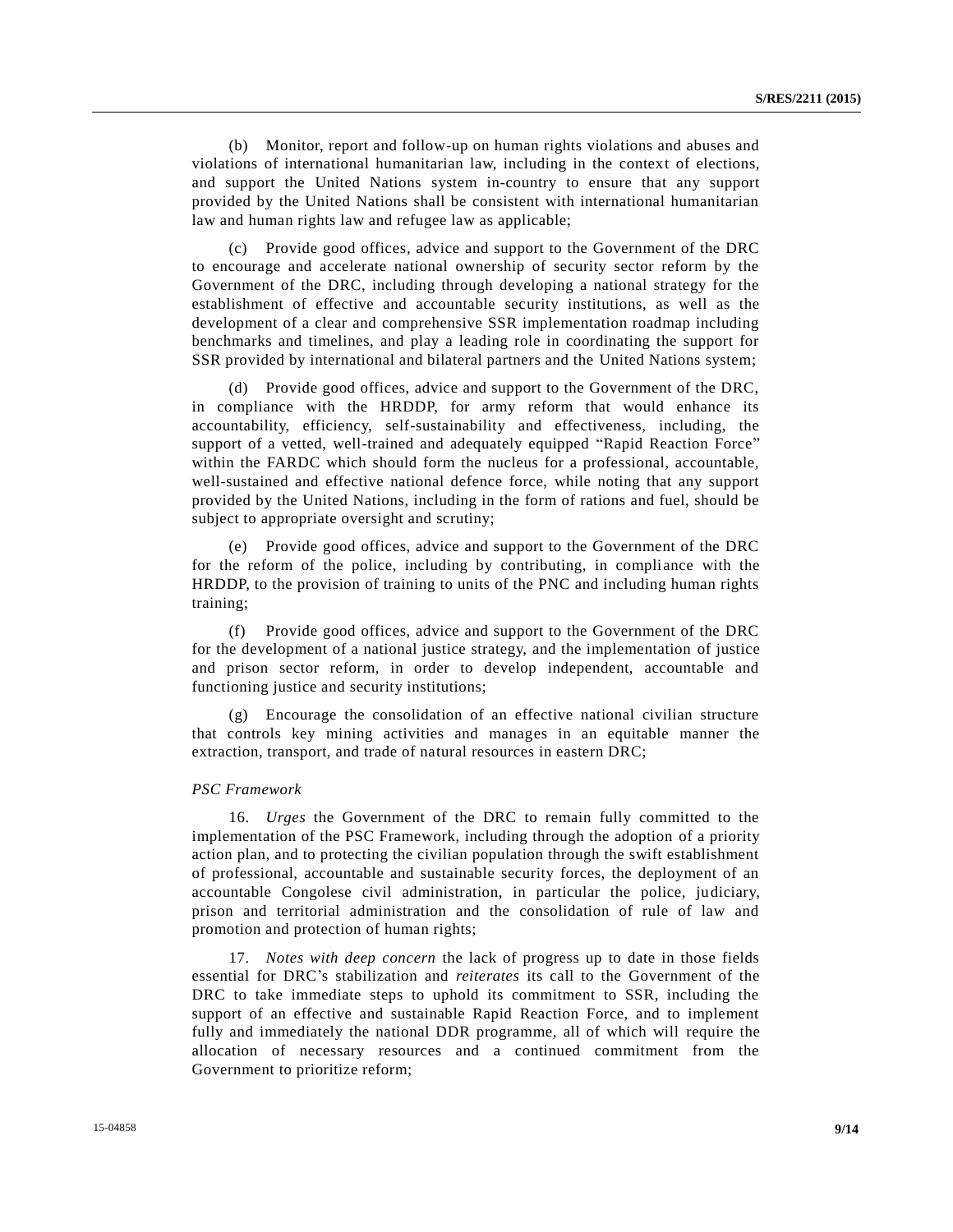(b) Monitor, report and follow-up on human rights violations and abuses and violations of international humanitarian law, including in the context of elections, and support the United Nations system in-country to ensure that any support provided by the United Nations shall be consistent with international humanitarian law and human rights law and refugee law as applicable;

(c) Provide good offices, advice and support to the Government of the DRC to encourage and accelerate national ownership of security sector reform by the Government of the DRC, including through developing a national strategy for the establishment of effective and accountable security institutions, as well as the development of a clear and comprehensive SSR implementation roadmap including benchmarks and timelines, and play a leading role in coordinating the support for SSR provided by international and bilateral partners and the United Nations system;

(d) Provide good offices, advice and support to the Government of the DRC, in compliance with the HRDDP, for army reform that would enhance its accountability, efficiency, self-sustainability and effectiveness, including, the support of a vetted, well-trained and adequately equipped "Rapid Reaction Force" within the FARDC which should form the nucleus for a professional, accountable, well-sustained and effective national defence force, while noting that any support provided by the United Nations, including in the form of rations and fuel, should be subject to appropriate oversight and scrutiny;

(e) Provide good offices, advice and support to the Government of the DRC for the reform of the police, including by contributing, in compliance with the HRDDP, to the provision of training to units of the PNC and including human rights training;

(f) Provide good offices, advice and support to the Government of the DRC for the development of a national justice strategy, and the implementation of justice and prison sector reform, in order to develop independent, accountable and functioning justice and security institutions;

(g) Encourage the consolidation of an effective national civilian structure that controls key mining activities and manages in an equitable manner the extraction, transport, and trade of natural resources in eastern DRC;

#### *PSC Framework*

16. *Urges* the Government of the DRC to remain fully committed to the implementation of the PSC Framework, including through the adoption of a priority action plan, and to protecting the civilian population through the swift establishment of professional, accountable and sustainable security forces, the deployment of an accountable Congolese civil administration, in particular the police, judiciary, prison and territorial administration and the consolidation of rule of law and promotion and protection of human rights;

17. *Notes with deep concern* the lack of progress up to date in those fields essential for DRC's stabilization and *reiterates* its call to the Government of the DRC to take immediate steps to uphold its commitment to SSR, including the support of an effective and sustainable Rapid Reaction Force, and to implement fully and immediately the national DDR programme, all of which will require the allocation of necessary resources and a continued commitment from the Government to prioritize reform;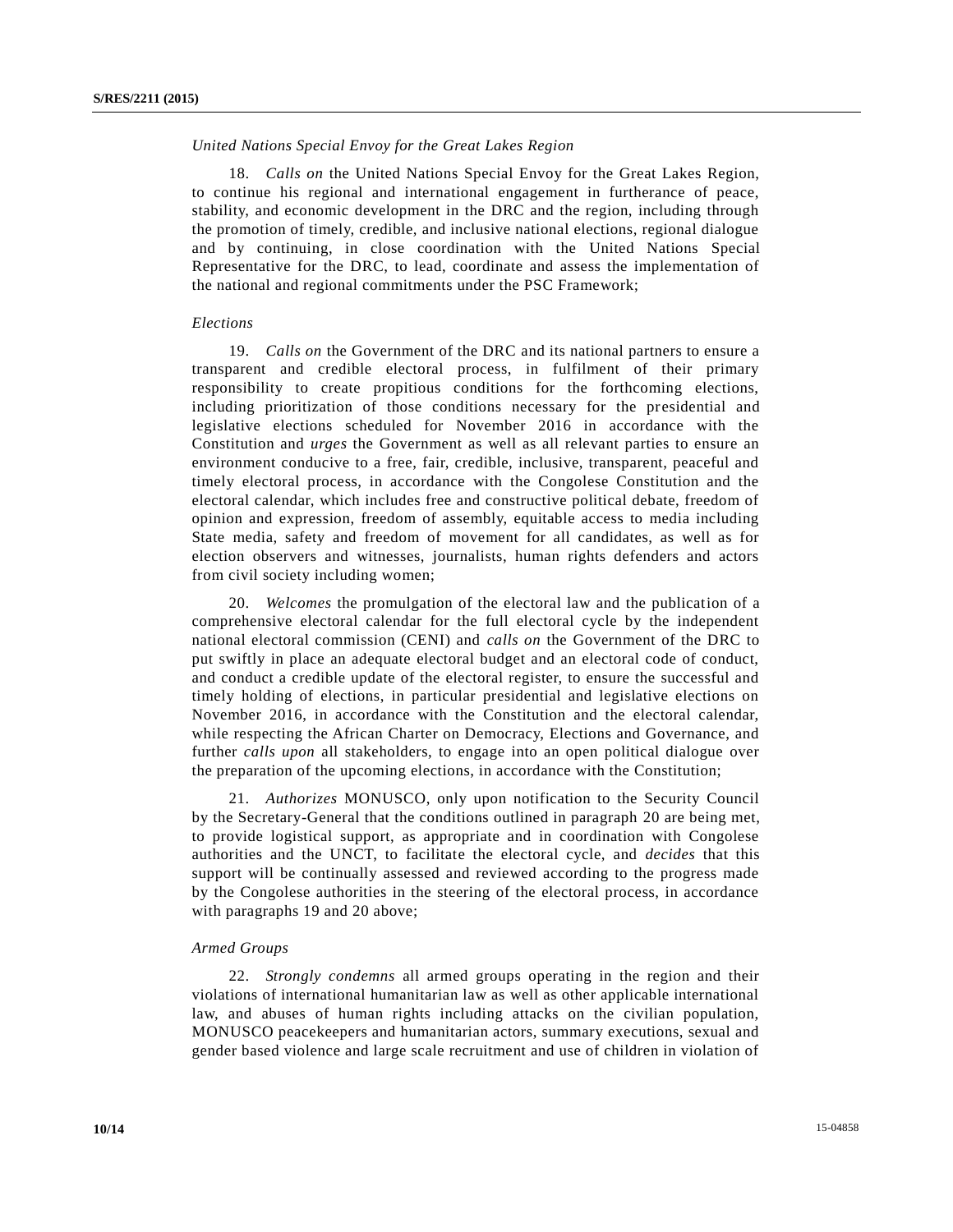## *United Nations Special Envoy for the Great Lakes Region*

18. *Calls on* the United Nations Special Envoy for the Great Lakes Region, to continue his regional and international engagement in furtherance of peace, stability, and economic development in the DRC and the region, including through the promotion of timely, credible, and inclusive national elections, regional dialogue and by continuing, in close coordination with the United Nations Special Representative for the DRC, to lead, coordinate and assess the implementation of the national and regional commitments under the PSC Framework;

#### *Elections*

19. *Calls on* the Government of the DRC and its national partners to ensure a transparent and credible electoral process, in fulfilment of their primary responsibility to create propitious conditions for the forthcoming elections, including prioritization of those conditions necessary for the presidential and legislative elections scheduled for November 2016 in accordance with the Constitution and *urges* the Government as well as all relevant parties to ensure an environment conducive to a free, fair, credible, inclusive, transparent, peaceful and timely electoral process, in accordance with the Congolese Constitution and the electoral calendar, which includes free and constructive political debate, freedom of opinion and expression, freedom of assembly, equitable access to media including State media, safety and freedom of movement for all candidates, as well as for election observers and witnesses, journalists, human rights defenders and actors from civil society including women;

20. *Welcomes* the promulgation of the electoral law and the publication of a comprehensive electoral calendar for the full electoral cycle by the independent national electoral commission (CENI) and *calls on* the Government of the DRC to put swiftly in place an adequate electoral budget and an electoral code of conduct, and conduct a credible update of the electoral register, to ensure the successful and timely holding of elections, in particular presidential and legislative elections on November 2016, in accordance with the Constitution and the electoral calendar, while respecting the African Charter on Democracy, Elections and Governance, and further *calls upon* all stakeholders, to engage into an open political dialogue over the preparation of the upcoming elections, in accordance with the Constitution;

21. *Authorizes* MONUSCO, only upon notification to the Security Council by the Secretary-General that the conditions outlined in paragraph 20 are being met, to provide logistical support, as appropriate and in coordination with Congolese authorities and the UNCT, to facilitate the electoral cycle, and *decides* that this support will be continually assessed and reviewed according to the progress made by the Congolese authorities in the steering of the electoral process, in accordance with paragraphs 19 and 20 above;

## *Armed Groups*

22. *Strongly condemns* all armed groups operating in the region and their violations of international humanitarian law as well as other applicable international law, and abuses of human rights including attacks on the civilian population, MONUSCO peacekeepers and humanitarian actors, summary executions, sexual and gender based violence and large scale recruitment and use of children in violation of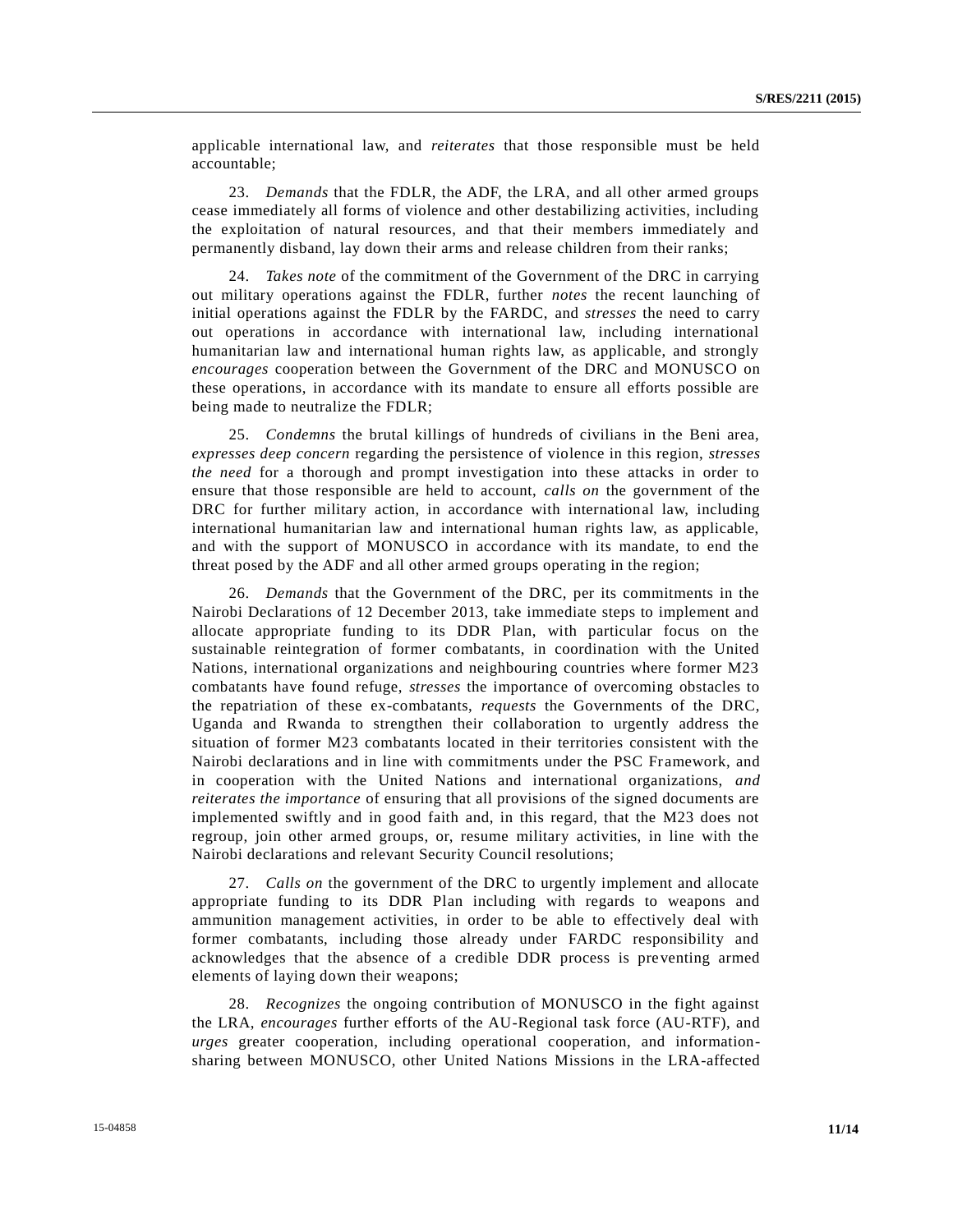applicable international law, and *reiterates* that those responsible must be held accountable;

23. *Demands* that the FDLR, the ADF, the LRA, and all other armed groups cease immediately all forms of violence and other destabilizing activities, including the exploitation of natural resources, and that their members immediately and permanently disband, lay down their arms and release children from their ranks;

24. *Takes note* of the commitment of the Government of the DRC in carrying out military operations against the FDLR, further *notes* the recent launching of initial operations against the FDLR by the FARDC, and *stresses* the need to carry out operations in accordance with international law, including international humanitarian law and international human rights law, as applicable, and strongly *encourages* cooperation between the Government of the DRC and MONUSCO on these operations, in accordance with its mandate to ensure all efforts possible are being made to neutralize the FDLR;

25. *Condemns* the brutal killings of hundreds of civilians in the Beni area, *expresses deep concern* regarding the persistence of violence in this region, *stresses the need* for a thorough and prompt investigation into these attacks in order to ensure that those responsible are held to account, *calls on* the government of the DRC for further military action, in accordance with international law, including international humanitarian law and international human rights law, as applicable, and with the support of MONUSCO in accordance with its mandate, to end the threat posed by the ADF and all other armed groups operating in the region;

26. *Demands* that the Government of the DRC, per its commitments in the Nairobi Declarations of 12 December 2013, take immediate steps to implement and allocate appropriate funding to its DDR Plan, with particular focus on the sustainable reintegration of former combatants, in coordination with the United Nations, international organizations and neighbouring countries where former M23 combatants have found refuge, *stresses* the importance of overcoming obstacles to the repatriation of these ex-combatants, *requests* the Governments of the DRC, Uganda and Rwanda to strengthen their collaboration to urgently address the situation of former M23 combatants located in their territories consistent with the Nairobi declarations and in line with commitments under the PSC Framework, and in cooperation with the United Nations and international organizations, *and reiterates the importance* of ensuring that all provisions of the signed documents are implemented swiftly and in good faith and, in this regard, that the M23 does not regroup, join other armed groups, or, resume military activities, in line with the Nairobi declarations and relevant Security Council resolutions;

27. *Calls on* the government of the DRC to urgently implement and allocate appropriate funding to its DDR Plan including with regards to weapons and ammunition management activities, in order to be able to effectively deal with former combatants, including those already under FARDC responsibility and acknowledges that the absence of a credible DDR process is preventing armed elements of laying down their weapons;

28. *Recognizes* the ongoing contribution of MONUSCO in the fight against the LRA, *encourages* further efforts of the AU-Regional task force (AU-RTF), and *urges* greater cooperation, including operational cooperation, and informationsharing between MONUSCO, other United Nations Missions in the LRA-affected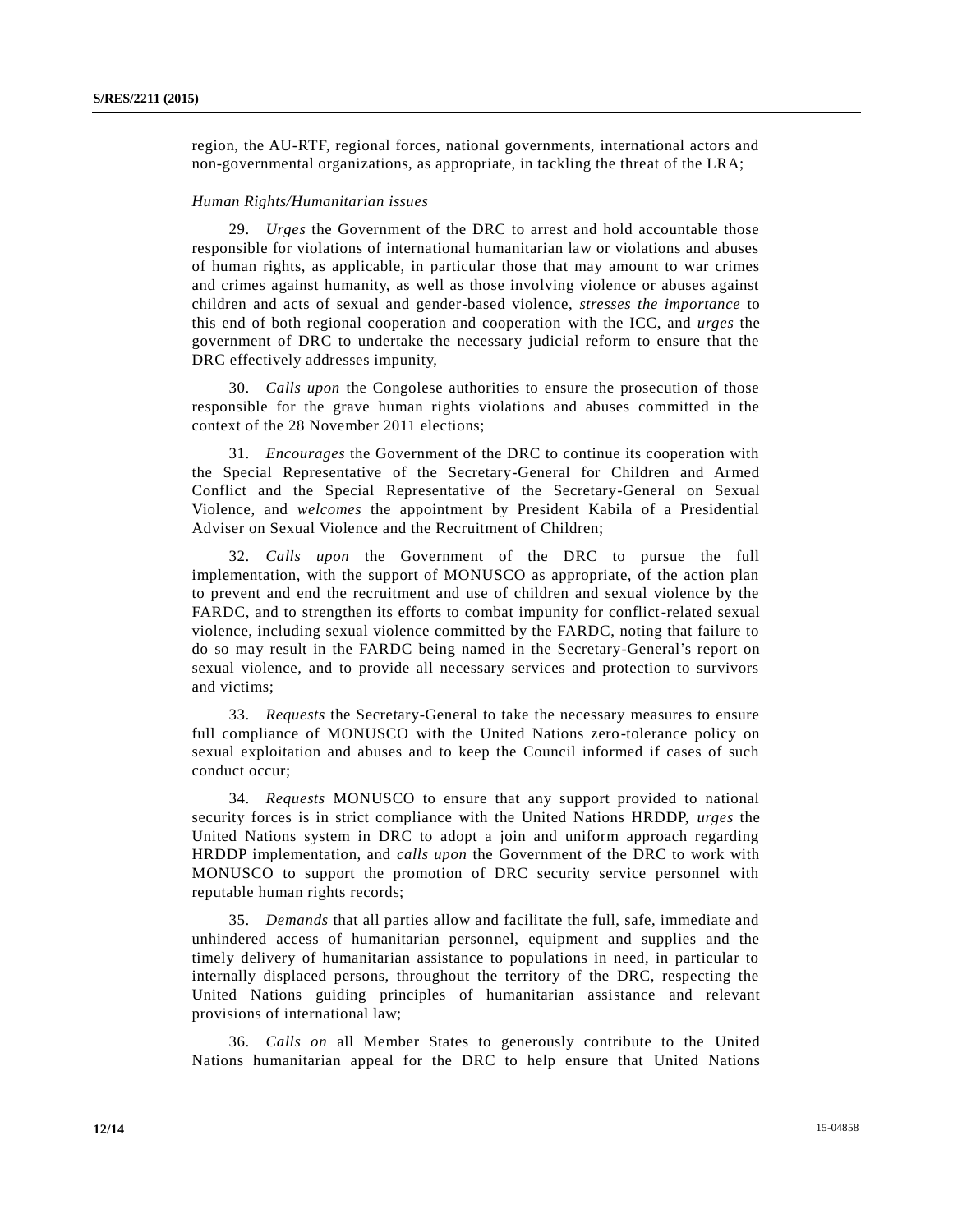region, the AU-RTF, regional forces, national governments, international actors and non-governmental organizations, as appropriate, in tackling the threat of the LRA;

#### *Human Rights/Humanitarian issues*

29. *Urges* the Government of the DRC to arrest and hold accountable those responsible for violations of international humanitarian law or violations and abuses of human rights, as applicable, in particular those that may amount to war crimes and crimes against humanity, as well as those involving violence or abuses against children and acts of sexual and gender-based violence, *stresses the importance* to this end of both regional cooperation and cooperation with the ICC, and *urges* the government of DRC to undertake the necessary judicial reform to ensure that the DRC effectively addresses impunity,

30. *Calls upon* the Congolese authorities to ensure the prosecution of those responsible for the grave human rights violations and abuses committed in the context of the 28 November 2011 elections;

31. *Encourages* the Government of the DRC to continue its cooperation with the Special Representative of the Secretary-General for Children and Armed Conflict and the Special Representative of the Secretary-General on Sexual Violence, and *welcomes* the appointment by President Kabila of a Presidential Adviser on Sexual Violence and the Recruitment of Children;

32. *Calls upon* the Government of the DRC to pursue the full implementation, with the support of MONUSCO as appropriate, of the action plan to prevent and end the recruitment and use of children and sexual violence by the FARDC, and to strengthen its efforts to combat impunity for conflict-related sexual violence, including sexual violence committed by the FARDC, noting that failure to do so may result in the FARDC being named in the Secretary-General's report on sexual violence, and to provide all necessary services and protection to survivors and victims;

33. *Requests* the Secretary-General to take the necessary measures to ensure full compliance of MONUSCO with the United Nations zero-tolerance policy on sexual exploitation and abuses and to keep the Council informed if cases of such conduct occur;

34. *Requests* MONUSCO to ensure that any support provided to national security forces is in strict compliance with the United Nations HRDDP, *urges* the United Nations system in DRC to adopt a join and uniform approach regarding HRDDP implementation, and *calls upon* the Government of the DRC to work with MONUSCO to support the promotion of DRC security service personnel with reputable human rights records;

35. *Demands* that all parties allow and facilitate the full, safe, immediate and unhindered access of humanitarian personnel, equipment and supplies and the timely delivery of humanitarian assistance to populations in need, in particular to internally displaced persons, throughout the territory of the DRC, respecting the United Nations guiding principles of humanitarian assistance and relevant provisions of international law;

36. *Calls on* all Member States to generously contribute to the United Nations humanitarian appeal for the DRC to help ensure that United Nations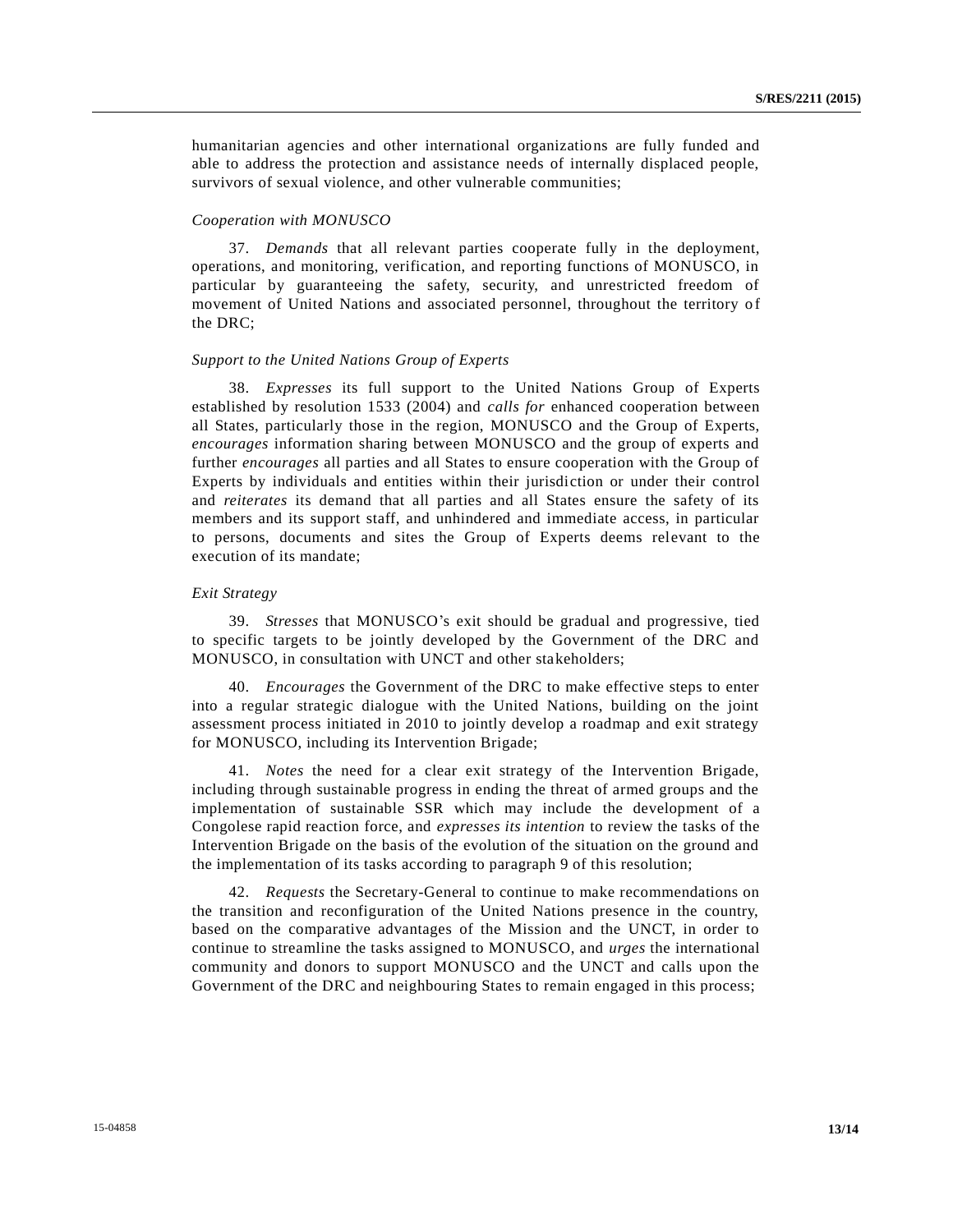humanitarian agencies and other international organizations are fully funded and able to address the protection and assistance needs of internally displaced people, survivors of sexual violence, and other vulnerable communities;

## *Cooperation with MONUSCO*

37. *Demands* that all relevant parties cooperate fully in the deployment, operations, and monitoring, verification, and reporting functions of MONUSCO, in particular by guaranteeing the safety, security, and unrestricted freedom of movement of United Nations and associated personnel, throughout the territory of the DRC;

#### *Support to the United Nations Group of Experts*

38. *Expresses* its full support to the United Nations Group of Experts established by resolution 1533 (2004) and *calls for* enhanced cooperation between all States, particularly those in the region, MONUSCO and the Group of Experts, *encourages* information sharing between MONUSCO and the group of experts and further *encourages* all parties and all States to ensure cooperation with the Group of Experts by individuals and entities within their jurisdiction or under their control and *reiterates* its demand that all parties and all States ensure the safety of its members and its support staff, and unhindered and immediate access, in particular to persons, documents and sites the Group of Experts deems relevant to the execution of its mandate;

#### *Exit Strategy*

39. *Stresses* that MONUSCO's exit should be gradual and progressive, tied to specific targets to be jointly developed by the Government of the DRC and MONUSCO, in consultation with UNCT and other stakeholders;

40. *Encourages* the Government of the DRC to make effective steps to enter into a regular strategic dialogue with the United Nations, building on the joint assessment process initiated in 2010 to jointly develop a roadmap and exit strategy for MONUSCO, including its Intervention Brigade;

41. *Notes* the need for a clear exit strategy of the Intervention Brigade, including through sustainable progress in ending the threat of armed groups and the implementation of sustainable SSR which may include the development of a Congolese rapid reaction force, and *expresses its intention* to review the tasks of the Intervention Brigade on the basis of the evolution of the situation on the ground and the implementation of its tasks according to paragraph 9 of this resolution;

42. *Requests* the Secretary-General to continue to make recommendations on the transition and reconfiguration of the United Nations presence in the country, based on the comparative advantages of the Mission and the UNCT, in order to continue to streamline the tasks assigned to MONUSCO, and *urges* the international community and donors to support MONUSCO and the UNCT and calls upon the Government of the DRC and neighbouring States to remain engaged in this process;